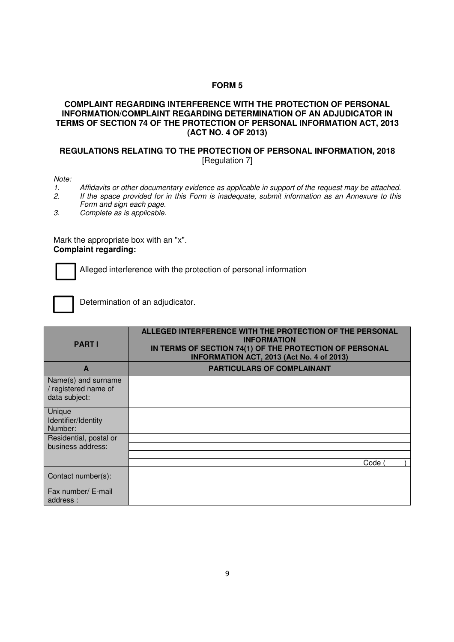## **FORM 5**

## **COMPLAINT REGARDING INTERFERENCE WITH THE PROTECTION OF PERSONAL INFORMATION/COMPLAINT REGARDING DETERMINATION OF AN ADJUDICATOR IN TERMS OF SECTION 74 OF THE PROTECTION OF PERSONAL INFORMATION ACT, 2013 (ACT NO. 4 OF 2013)**

## **REGULATIONS RELATING TO THE PROTECTION OF PERSONAL INFORMATION, 2018**  [Regulation 7]

Note:<br>1.

- 1. Affidavits or other documentary evidence as applicable in support of the request may be attached.<br>2. If the space provided for in this Form is inadequate, submit information as an Annexure to this
	- If the space provided for in this Form is inadequate, submit information as an Annexure to this Form and sign each page.
- 3. Complete as is applicable.

Mark the appropriate box with an "x". **Complaint regarding:** 



Alleged interference with the protection of personal information



Determination of an adjudicator.

| <b>PART I</b>                                                | ALLEGED INTERFERENCE WITH THE PROTECTION OF THE PERSONAL<br><b>INFORMATION</b><br>IN TERMS OF SECTION 74(1) OF THE PROTECTION OF PERSONAL<br>INFORMATION ACT, 2013 (Act No. 4 of 2013) |
|--------------------------------------------------------------|----------------------------------------------------------------------------------------------------------------------------------------------------------------------------------------|
| A                                                            | <b>PARTICULARS OF COMPLAINANT</b>                                                                                                                                                      |
| Name(s) and surname<br>/ registered name of<br>data subject: |                                                                                                                                                                                        |
| Unique<br>Identifier/Identity<br>Number:                     |                                                                                                                                                                                        |
| Residential, postal or<br>business address:                  |                                                                                                                                                                                        |
|                                                              | Code                                                                                                                                                                                   |
| Contact number(s):                                           |                                                                                                                                                                                        |
| Fax number/ E-mail<br>address:                               |                                                                                                                                                                                        |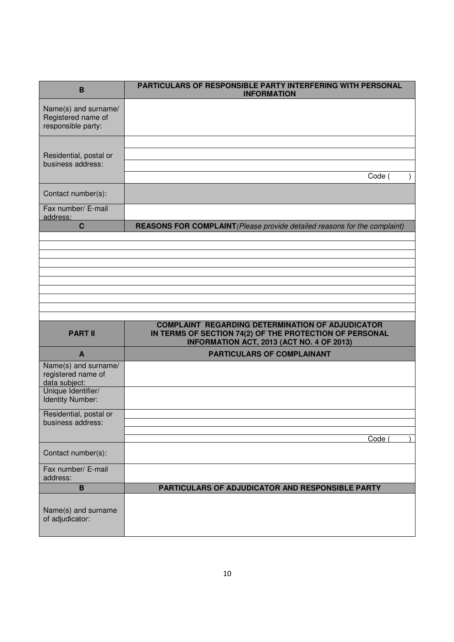| в                                                                | PARTICULARS OF RESPONSIBLE PARTY INTERFERING WITH PERSONAL<br><b>INFORMATION</b>                                   |
|------------------------------------------------------------------|--------------------------------------------------------------------------------------------------------------------|
| Name(s) and surname/<br>Registered name of<br>responsible party: |                                                                                                                    |
|                                                                  |                                                                                                                    |
| Residential, postal or<br>business address:                      |                                                                                                                    |
|                                                                  | Code (                                                                                                             |
| Contact number(s):                                               |                                                                                                                    |
| Fax number/ E-mail<br>address:                                   |                                                                                                                    |
| $\mathbf C$                                                      | REASONS FOR COMPLAINT (Please provide detailed reasons for the complaint)                                          |
|                                                                  |                                                                                                                    |
|                                                                  |                                                                                                                    |
|                                                                  |                                                                                                                    |
|                                                                  |                                                                                                                    |
|                                                                  |                                                                                                                    |
|                                                                  |                                                                                                                    |
|                                                                  |                                                                                                                    |
|                                                                  |                                                                                                                    |
| <b>PART II</b>                                                   | <b>COMPLAINT REGARDING DETERMINATION OF ADJUDICATOR</b><br>IN TERMS OF SECTION 74(2) OF THE PROTECTION OF PERSONAL |
| A                                                                | INFORMATION ACT, 2013 (ACT NO. 4 OF 2013)<br><b>PARTICULARS OF COMPLAINANT</b>                                     |
| Name(s) and surname/<br>registered name of<br>data subject:      |                                                                                                                    |
| Unique Identifier/<br><b>Identity Number:</b>                    |                                                                                                                    |
| Residential, postal or                                           |                                                                                                                    |
| business address:                                                |                                                                                                                    |
|                                                                  | Code                                                                                                               |
| Contact number(s):                                               |                                                                                                                    |
| Fax number/ E-mail<br>address:                                   |                                                                                                                    |
| $\mathbf B$                                                      | PARTICULARS OF ADJUDICATOR AND RESPONSIBLE PARTY                                                                   |